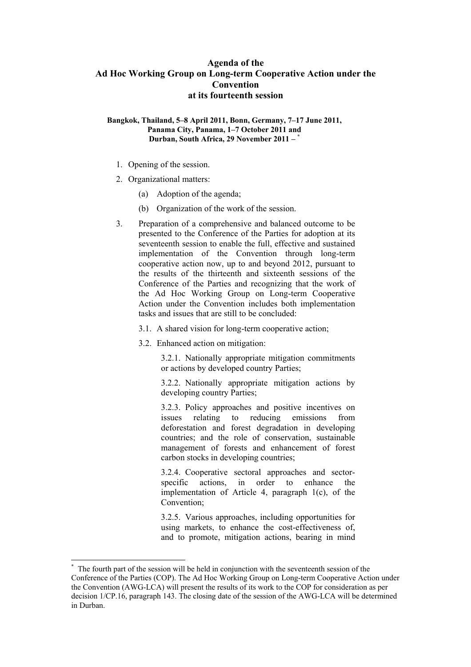## **Agenda of the Ad Hoc Working Group on Long-term Cooperative Action under the Convention at its fourteenth session**

Bangkok, Thailand, 5-8 April 2011, Bonn, Germany, 7-17 June 2011, Panama City, Panama, 1-7 October 2011 and **Durban, South Africa, 29 November 2011 – \*** 

- 1. Opening of the session.
- 2. Organizational matters:

 $\overline{a}$ 

- (a) Adoption of the agenda;
- (b) Organization of the work of the session.
- 3. Preparation of a comprehensive and balanced outcome to be presented to the Conference of the Parties for adoption at its seventeenth session to enable the full, effective and sustained implementation of the Convention through long-term cooperative action now, up to and beyond 2012, pursuant to the results of the thirteenth and sixteenth sessions of the Conference of the Parties and recognizing that the work of the Ad Hoc Working Group on Long-term Cooperative Action under the Convention includes both implementation tasks and issues that are still to be concluded:
	- 3.1. A shared vision for long-term cooperative action;
	- 3.2. Enhanced action on mitigation:

3.2.1. Nationally appropriate mitigation commitments or actions by developed country Parties;

3.2.2. Nationally appropriate mitigation actions by developing country Parties;

3.2.3. Policy approaches and positive incentives on issues relating to reducing emissions from deforestation and forest degradation in developing countries; and the role of conservation, sustainable management of forests and enhancement of forest carbon stocks in developing countries;

3.2.4. Cooperative sectoral approaches and sectorspecific actions, in order to enhance the implementation of Article 4, paragraph 1(c), of the Convention;

3.2.5. Various approaches, including opportunities for using markets, to enhance the cost-effectiveness of, and to promote, mitigation actions, bearing in mind

<sup>\*</sup> The fourth part of the session will be held in conjunction with the seventeenth session of the Conference of the Parties (COP). The Ad Hoc Working Group on Long-term Cooperative Action under the Convention (AWG-LCA) will present the results of its work to the COP for consideration as per decision 1/CP.16, paragraph 143. The closing date of the session of the AWG-LCA will be determined in Durban.